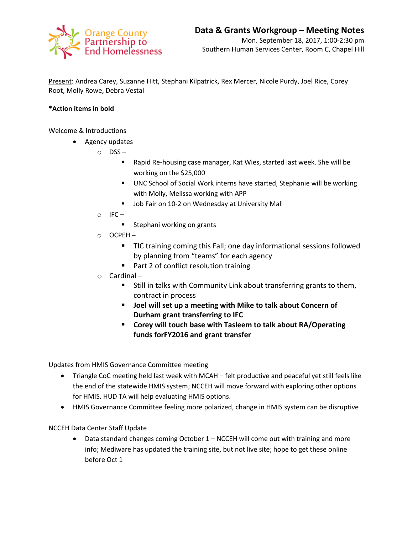

Present: Andrea Carey, Suzanne Hitt, Stephani Kilpatrick, Rex Mercer, Nicole Purdy, Joel Rice, Corey Root, Molly Rowe, Debra Vestal

## **\*Action items in bold**

Welcome & Introductions

- Agency updates
	- o DSS
		- Rapid Re-housing case manager, Kat Wies, started last week. She will be working on the \$25,000
		- UNC School of Social Work interns have started, Stephanie will be working with Molly, Melissa working with APP
		- **Job Fair on 10-2 on Wednesday at University Mall**
	- $\circ$  IFC
		- **Stephani working on grants**
	- o OCPEH
		- TIC training coming this Fall; one day informational sessions followed by planning from "teams" for each agency
		- Part 2 of conflict resolution training
	- o Cardinal
		- **Still in talks with Community Link about transferring grants to them,** contract in process
		- **Joel will set up a meeting with Mike to talk about Concern of Durham grant transferring to IFC**
		- **Corey will touch base with Tasleem to talk about RA/Operating funds forFY2016 and grant transfer**

Updates from HMIS Governance Committee meeting

- Triangle CoC meeting held last week with MCAH felt productive and peaceful yet still feels like the end of the statewide HMIS system; NCCEH will move forward with exploring other options for HMIS. HUD TA will help evaluating HMIS options.
- HMIS Governance Committee feeling more polarized, change in HMIS system can be disruptive

NCCEH Data Center Staff Update

• Data standard changes coming October 1 – NCCEH will come out with training and more info; Mediware has updated the training site, but not live site; hope to get these online before Oct 1